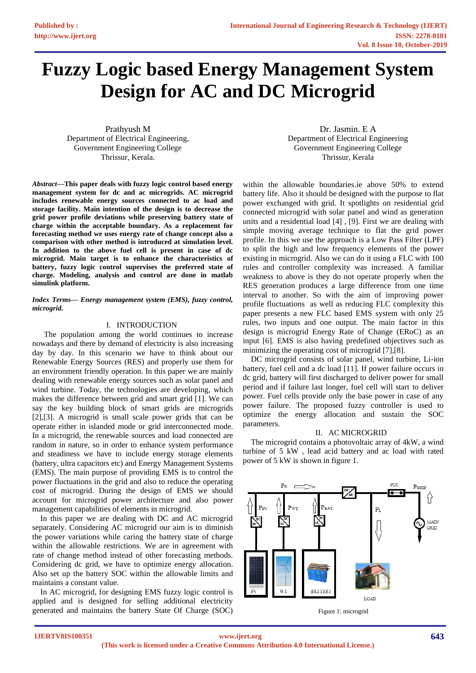# **Fuzzy Logic based Energy Management System Design for AC and DC Microgrid**

Prathyush M Department of Electrical Engineering, Government Engineering College Thrissur, Kerala.

*Abstract***—This paper deals with fuzzy logic control based energy management system for dc and ac microgrids. AC microgrid includes renewable energy sources connected to ac load and storage facility. Main intention of the design is to decrease the grid power profile deviations while preserving battery state of charge within the acceptable boundary. As a replacement for forecasting method we uses energy rate of change concept also a comparison with other method is introduced at simulation level. In addition to the above fuel cell is present in case of dc microgrid. Main target is to enhance the characteristics of battery, fuzzy logic control supervises the preferred state of charge. Modeling, analysis and control are done in matlab simulink platform.** 

*Index Terms— Energy management system (EMS), fuzzy control, microgrid.*

## I. INTRODUCTION

 The population among the world continues to increase nowadays and there by demand of electricity is also increasing day by day. In this scenario we have to think about our Renewable Energy Sources (RES) and properly use them for an environment friendly operation. In this paper we are mainly dealing with renewable energy sources such as solar panel and wind turbine. Today, the technologies are developing, which makes the difference between grid and smart grid [1]. We can say the key building block of smart grids are microgrids [2],[3]. A microgrid is small scale power grids that can be operate either in islanded mode or grid interconnected mode. In a microgrid, the renewable sources and load connected are random in nature, so in order to enhance system performance and steadiness we have to include energy storage elements (battery, ultra capacitors etc) and Energy Management Systems (EMS). The main purpose of providing EMS is to control the power fluctuations in the grid and also to reduce the operating cost of microgrid. During the design of EMS we should account for microgrid power architecture and also power management capabilities of elements in microgrid.

 In this paper we are dealing with DC and AC microgrid separately. Considering AC microgrid our aim is to diminish the power variations while caring the battery state of charge within the allowable restrictions. We are in agreement with rate of change method instead of other forecasting methods. Considering dc grid, we have to optimize energy allocation. Also set up the battery SOC within the allowable limits and maintains a constant value.

 In AC microgrid, for designing EMS fuzzy logic control is applied and is designed for selling additional electricity generated and maintains the battery State Of Charge (SOC)

Dr. Jasmin. E A Department of Electrical Engineering Government Engineering College Thrissur, Kerala

within the allowable boundaries.ie above 50% to extend battery life. Also it should be designed with the purpose to flat power exchanged with grid. It spotlights on residential grid connected microgrid with solar panel and wind as generation units and a residential load [4] , [9]. First we are dealing with simple moving average technique to flat the grid power profile. In this we use the approach is a Low Pass Filter (LPF) to split the high and low frequency elements of the power existing in microgrid. Also we can do it using a FLC with 100 rules and controller complexity was increased. A familiar weakness to above is they do not operate properly when the RES generation produces a large difference from one time interval to another. So with the aim of improving power profile fluctuations as well as reducing FLC complexity this paper presents a new FLC based EMS system with only 25 rules, two inputs and one output. The main factor in this design is microgrid Energy Rate of Change (ERoC) as an input [6]. EMS is also having predefined objectives such as minimizing the operating cost of microgrid [7],[8].

 DC microgrid consists of solar panel, wind turbine, Li-ion battery, fuel cell and a dc load [11]. If power failure occurs in dc grid, battery will first discharged to deliver power for small period and if failure last longer, fuel cell will start to deliver power. Fuel cells provide only the base power in case of any power failure. The proposed fuzzy controller is used to optimize the energy allocation and sustain the SOC parameters.

# II. AC MICROGRID

 The microgrid contains a photovoltaic array of 4kW, a wind turbine of 5 kW , lead acid battery and ac load with rated power of 5 kW is shown in figure 1.

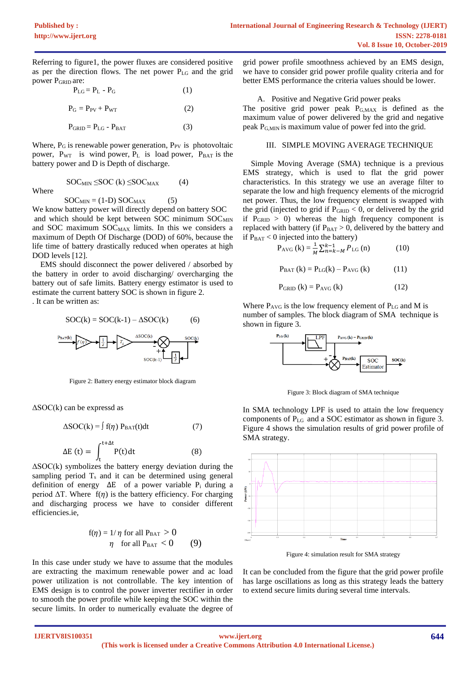Referring to figure1, the power fluxes are considered positive as per the direction flows. The net power PLG and the grid power PGRID are:

$$
P_{LG} = P_L - P_G \tag{1}
$$

$$
P_G = P_{PV} + P_{WT} \tag{2}
$$

$$
P_{\text{GRID}} = P_{\text{LG}} - P_{\text{BAT}} \tag{3}
$$

Where,  $P_G$  is renewable power generation,  $P_{PV}$  is photovoltaic power,  $P_{WT}$  is wind power,  $P_L$  is load power,  $P_{BAT}$  is the battery power and D is Depth of discharge.

 $SOC<sub>MIN</sub> \leq SOC$  (k)  $\leq SOC<sub>MAX</sub>$  (4)

Where

 $SOC<sub>MIN</sub> = (1-D) SOC<sub>MAX</sub>$  (5)

We know battery power will directly depend on battery SOC and which should be kept between SOC minimum SOC<sub>MIN</sub> and SOC maximum  $SOC<sub>MAX</sub>$  limits. In this we considers a maximum of Depth Of Discharge (DOD) of 60%, because the life time of battery drastically reduced when operates at high DOD levels [12].

 EMS should disconnect the power delivered / absorbed by the battery in order to avoid discharging/ overcharging the battery out of safe limits. Battery energy estimator is used to estimate the current battery SOC is shown in figure 2. . It can be written as:

$$
SOC(k) = SOC(k-1) - \Delta SOC(k)
$$
 (6)



Figure 2: Battery energy estimator block diagram

 $\Delta$ SOC(k) can be expressd as

$$
\Delta SOC(k) = \int f(\eta) P_{\text{BAT}}(t) dt
$$
 (7)

$$
\Delta E(t) = \int_{t}^{t+\Delta t} P(t) dt
$$
 (8)

 $\Delta$ SOC(k) symbolizes the battery energy deviation during the sampling period  $T_s$  and it can be determined using general definition of energy  $\Delta E$  of a power variable P<sub>i</sub> during a period  $\Delta T$ . Where  $f(\eta)$  is the battery efficiency. For charging and discharging process we have to consider different efficiencies.ie,

$$
f(\eta) = 1/\eta \text{ for all } P_{\text{BAT}} > 0
$$
  

$$
\eta \text{ for all } P_{\text{BAT}} < 0
$$
 (9)

In this case under study we have to assume that the modules are extracting the maximum renewable power and ac load power utilization is not controllable. The key intention of EMS design is to control the power inverter rectifier in order to smooth the power profile while keeping the SOC within the secure limits. In order to numerically evaluate the degree of

grid power profile smoothness achieved by an EMS design, we have to consider grid power profile quality criteria and for better EMS performance the criteria values should be lower.

A. Positive and Negative Grid power peaks The positive grid power peak  $P_{G,MAX}$  is defined as the maximum value of power delivered by the grid and negative

peak PG,MIN is maximum value of power fed into the grid.

#### III. SIMPLE MOVING AVERAGE TECHNIQUE

 Simple Moving Average (SMA) technique is a previous EMS strategy, which is used to flat the grid power characteristics. In this strategy we use an average filter to separate the low and high frequency elements of the microgrid net power. Thus, the low frequency element is swapped with the grid (injected to grid if  $P_{\text{GRID}} < 0$ , or delivered by the grid if  $P_{GRID} > 0$ ) whereas the high frequency component is replaced with battery (if  $P_{BAT} > 0$ , delivered by the battery and if  $P_{BAT} < 0$  injected into the battery)

$$
P_{AVG} (k) = \frac{1}{M} \sum_{n=k-M}^{k-1} P_{LG} (n)
$$
 (10)

$$
P_{BAT}(k) = P_{LG}(k) - P_{AVG}(k)
$$
 (11)

$$
P_{GRID} (k) = P_{AVG} (k)
$$
 (12)

Where  $P_{AVG}$  is the low frequency element of  $P_{LG}$  and M is number of samples. The block diagram of SMA technique is shown in figure 3.



Figure 3: Block diagram of SMA technique

In SMA technology LPF is used to attain the low frequency components of PLG and a SOC estimator as shown in figure 3. Figure 4 shows the simulation results of grid power profile of SMA strategy.



Figure 4: simulation result for SMA strategy

It can be concluded from the figure that the grid power profile has large oscillations as long as this strategy leads the battery to extend secure limits during several time intervals.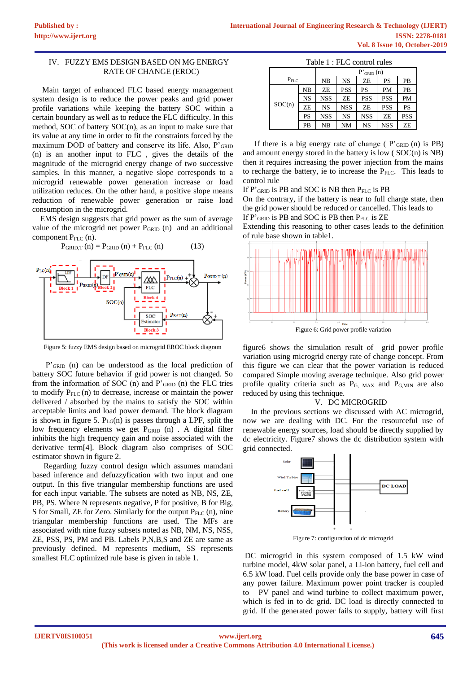## IV. FUZZY EMS DESIGN BASED ON MG ENERGY RATE OF CHANGE (EROC)

 Main target of enhanced FLC based energy management system design is to reduce the power peaks and grid power profile variations while keeping the battery SOC within a certain boundary as well as to reduce the FLC difficulty. In this method, SOC of battery SOC(n), as an input to make sure that its value at any time in order to fit the constraints forced by the maximum DOD of battery and conserve its life. Also,  $P'_{GRID}$ (n) is an another input to FLC , gives the details of the magnitude of the microgrid energy change of two successive samples. In this manner, a negative slope corresponds to a microgrid renewable power generation increase or load utilization reduces. On the other hand, a positive slope means reduction of renewable power generation or raise load consumption in the microgrid.

 EMS design suggests that grid power as the sum of average value of the microgrid net power  $P_{\text{GRID}}$  (n) and an additional component  $P_{FLC}$  (n).



Figure 5: fuzzy EMS design based on microgrid EROC block diagram

P'GRID (n) can be understood as the local prediction of battery SOC future behavior if grid power is not changed. So from the information of SOC (n) and  $P'_{GRID}$  (n) the FLC tries to modify P<sub>FLC</sub> (n) to decrease, increase or maintain the power delivered / absorbed by the mains to satisfy the SOC within acceptable limits and load power demand. The block diagram is shown in figure 5.  $P_{LG}(n)$  is passes through a LPF, split the low frequency elements we get P<sub>GRID</sub> (n) . A digital filter inhibits the high frequency gain and noise associated with the derivative term[4]. Block diagram also comprises of SOC estimator shown in figure 2.

Regarding fuzzy control design which assumes mamdani based inference and defuzzyfication with two input and one output. In this five triangular membership functions are used for each input variable. The subsets are noted as NB, NS, ZE, PB, PS. Where N represents negative, P for positive, B for Big, S for Small, ZE for Zero. Similarly for the output  $P_{FLC}$  (n), nine triangular membership functions are used. The MFs are associated with nine fuzzy subsets noted as NB, NM, NS, NSS, ZE, PSS, PS, PM and PB. Labels P,N,B,S and ZE are same as previously defined. M represents medium, SS represents smallest FLC optimized rule base is given in table 1.

| Table 1 : FLC control rules |           |                |            |            |            |            |  |  |  |
|-----------------------------|-----------|----------------|------------|------------|------------|------------|--|--|--|
|                             |           | $P'_{GRID}(n)$ |            |            |            |            |  |  |  |
| $P_{FLC}$                   |           | NB             | <b>NS</b>  | ZΕ         | PS         | PB         |  |  |  |
| SOC(n)                      | NB        | ZE             | <b>PSS</b> | PS         | PM         | PB         |  |  |  |
|                             | <b>NS</b> | <b>NSS</b>     | ZE         | <b>PSS</b> | <b>PSS</b> | PM         |  |  |  |
|                             | ZE        | <b>NS</b>      | <b>NSS</b> | ZE         | <b>PSS</b> | PS         |  |  |  |
|                             | PS        | <b>NSS</b>     | <b>NS</b>  | <b>NSS</b> | ZE         | <b>PSS</b> |  |  |  |
|                             | PВ        | NB             | <b>NM</b>  | <b>NS</b>  | <b>NSS</b> | ZE         |  |  |  |

If there is a big energy rate of change ( $P'_{GRID}$  (n) is PB) and amount energy stored in the battery is low ( SOC(n) is NB) then it requires increasing the power injection from the mains to recharge the battery, ie to increase the  $P_{FLC}$ . This leads to control rule

If  $P'_{GRID}$  is PB and SOC is NB then  $P_{FLC}$  is PB

On the contrary, if the battery is near to full charge state, then the grid power should be reduced or cancelled. This leads to If  $P'$ <sub>GRID</sub> is PB and SOC is PB then  $P_{FLC}$  is ZE

Extending this reasoning to other cases leads to the definition of rule base shown in table1.



Figure 6: Grid power profile variation

figure6 shows the simulation result of grid power profile variation using microgrid energy rate of change concept. From this figure we can clear that the power variation is reduced compared Simple moving average technique. Also grid power profile quality criteria such as P<sub>G, MAX</sub> and P<sub>G,MIN</sub> are also reduced by using this technique.

# V. DC MICROGRID

 In the previous sections we discussed with AC microgrid, now we are dealing with DC. For the resourceful use of renewable energy sources, load should be directly supplied by dc electricity. Figure7 shows the dc distribution system with grid connected.



Figure 7: configuration of dc microgrid

DC microgrid in this system composed of 1.5 kW wind turbine model, 4kW solar panel, a Li-ion battery, fuel cell and 6.5 kW load. Fuel cells provide only the base power in case of any power failure. Maximum power point tracker is coupled to PV panel and wind turbine to collect maximum power, which is fed in to dc grid. DC load is directly connected to grid. If the generated power fails to supply, battery will first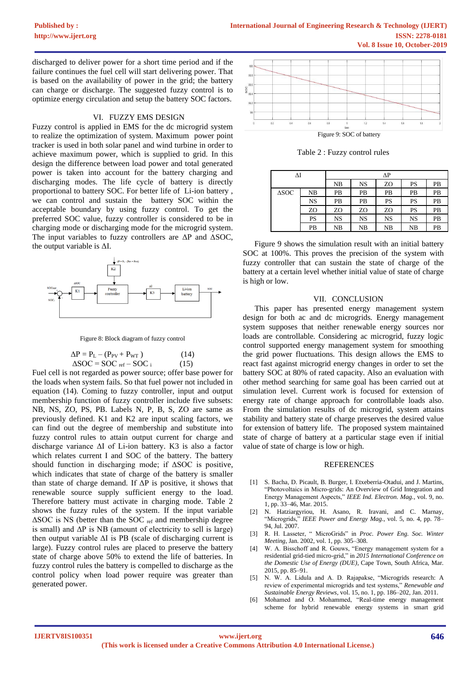discharged to deliver power for a short time period and if the failure continues the fuel cell will start delivering power. That is based on the availability of power in the grid; the battery can charge or discharge. The suggested fuzzy control is to optimize energy circulation and setup the battery SOC factors.

### VI. FUZZY EMS DESIGN

Fuzzy control is applied in EMS for the dc microgrid system to realize the optimization of system. Maximum power point tracker is used in both solar panel and wind turbine in order to achieve maximum power, which is supplied to grid. In this design the difference between load power and total generated power is taken into account for the battery charging and discharging modes. The life cycle of battery is directly proportional to battery SOC. For better life of Li-ion battery , we can control and sustain the battery SOC within the acceptable boundary by using fuzzy control. To get the preferred SOC value, fuzzy controller is considered to be in charging mode or discharging mode for the microgrid system. The input variables to fuzzy controllers are  $\Delta P$  and  $\Delta SOC$ , the output variable is ΔI.



Figure 8: Block diagram of fuzzy control

| $\Delta P = P_L - (P_{PV} + P_{WT})$ | (14) |
|--------------------------------------|------|
| $\Delta SOC = SOC_{ref} - SOC_{i}$   | (15) |

Fuel cell is not regarded as power source; offer base power for the loads when system fails. So that fuel power not included in equation (14). Coming to fuzzy controller, input and output membership function of fuzzy controller include five subsets: NB, NS, ZO, PS, PB. Labels N, P, B, S, ZO are same as previously defined. K1 and K2 are input scaling factors, we can find out the degree of membership and substitute into fuzzy control rules to attain output current for charge and discharge variance ΔI of Li-ion battery. K3 is also a factor which relates current I and SOC of the battery. The battery should function in discharging mode; if ΔSOC is positive, which indicates that state of charge of the battery is smaller than state of charge demand. If  $\Delta P$  is positive, it shows that renewable source supply sufficient energy to the load. Therefore battery must activate in charging mode. Table 2 shows the fuzzy rules of the system. If the input variable ΔSOC is NS (better than the SOC ref and membership degree is small) and  $\Delta P$  is NB (amount of electricity to sell is large) then output variable  $\Delta I$  is PB (scale of discharging current is large). Fuzzy control rules are placed to preserve the battery state of charge above 50% to extend the life of batteries. In fuzzy control rules the battery is compelled to discharge as the control policy when load power require was greater than generated power.



Table 2 : Fuzzy control rules

| ΔΙ              |           | ΔΡ        |           |           |           |    |  |
|-----------------|-----------|-----------|-----------|-----------|-----------|----|--|
|                 |           | NB        | NS        | ZO        | PS        | PB |  |
| $\triangle$ SOC | NB        | PB        | PВ        | PB        | PB        | PB |  |
|                 | <b>NS</b> | PB        | PВ        | PS        | PS        | PB |  |
|                 | ZO        | ZO        | ZO        | ZO        | PS        | PB |  |
|                 | PS        | <b>NS</b> | <b>NS</b> | <b>NS</b> | <b>NS</b> | PB |  |
|                 | PB        | NB        | NB        | NB        | NB        | PB |  |

Figure 9 shows the simulation result with an initial battery SOC at 100%. This proves the precision of the system with fuzzy controller that can sustain the state of charge of the battery at a certain level whether initial value of state of charge is high or low.

#### VII. CONCLUSION

 This paper has presented energy management system design for both ac and dc microgrids. Energy management system supposes that neither renewable energy sources nor loads are controllable. Considering ac microgrid, fuzzy logic control supported energy management system for smoothing the grid power fluctuations. This design allows the EMS to react fast against microgrid energy changes in order to set the battery SOC at 80% of rated capacity. Also an evaluation with other method searching for same goal has been carried out at simulation level. Current work is focused for extension of energy rate of change approach for controllable loads also. From the simulation results of dc microgrid, system attains stability and battery state of charge preserves the desired value for extension of battery life. The proposed system maintained state of charge of battery at a particular stage even if initial value of state of charge is low or high.

#### **REFERENCES**

- [1] S. Bacha, D. Picault, B. Burger, I. Etxeberria-Otadui, and J. Martins, "Photovoltaics in Micro-grids: An Overview of Grid Integration and Energy Management Aspects," *IEEE Ind. Electron. Mag.*, vol. 9, no. 1, pp. 33–46, Mar. 2015.
- [2] N. Hatziargyriou, H. Asano, R. Iravani, and C. Marnay, "Microgrids," *IEEE Power and Energy Mag.*, vol. 5, no. 4, pp. 78– 94, Jul. 2007.
- [3] R. H. Lasseter, " MicroGrids" in *Proc. Power Eng. Soc. Winter Meeting*, Jan. 2002, vol. 1, pp. 305–308.
- [4] W. A. Bisschoff and R. Gouws, "Energy management system for a residential grid-tied micro-grid," in *2015 International Conference on the Domestic Use of Energy (DUE)*, Cape Town, South Africa, Mar. 2015, pp. 85–91.
- [5] N. W. A. Lidula and A. D. Rajapakse, "Microgrids research: A review of experimental microgrids and test systems," *Renewable and Sustainable Energy Reviews*, vol. 15, no. 1, pp. 186–202, Jan. 2011.
- [6] Mohamed and O. Mohammed, "Real-time energy management scheme for hybrid renewable energy systems in smart grid